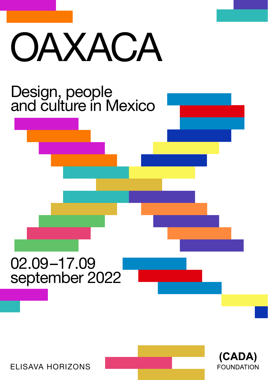# OAXACA





ELISAVA HORIZONS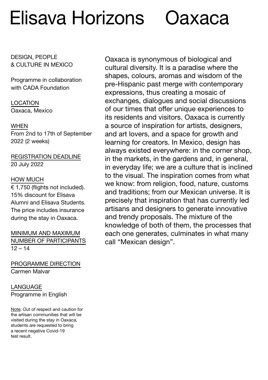### Elisava Horizons Oaxaca

DESIGN, PEOPLE & CULTURE IN MEXICO

Programme in collaboration with CADA Foundation

LOCATION Oaxaca, Mexico

#### **WHFN**

From 2nd to 17th of September 2022 (2 weeks)

REGISTRATION DEADLINE 20 July 2022

#### HOW MUCH

 $\overline{\epsilon}$  1.750 (flights not included). 15% discount for Elisava Alumni and Elisava Students. The price includes insurance during the stay in Oaxaca.

MINIMUM AND MAXIMUM NUMBER OF PARTICIPANTS  $12 - 14$ 

PROGRAMME DIRECTION Carmen Malvar

#### LANGUAGE Programme in English

Note: Out of respect and caution for the artisan communities that will be visited during the stay in Oaxaca, students are requested to bring a recent negative Covid-19 test result.

Oaxaca is synonymous of biological and cultural diversity. It is a paradise where the shapes, colours, aromas and wisdom of the pre-Hispanic past merge with contemporary expressions, thus creating a mosaic of exchanges, dialogues and social discussions of our times that offer unique experiences to its residents and visitors. Oaxaca is currently a source of inspiration for artists, designers, and art lovers, and a space for growth and learning for creators. In Mexico, design has always existed everywhere: in the corner shop, in the markets, in the gardens and, in general, in everyday life; we are a culture that is inclined to the visual. The inspiration comes from what we know: from religion, food, nature, customs and traditions; from our Mexican universe. It is precisely that inspiration that has currently led artisans and designers to generate innovative and trendy proposals. The mixture of the knowledge of both of them, the processes that each one generates, culminates in what many call "Mexican design".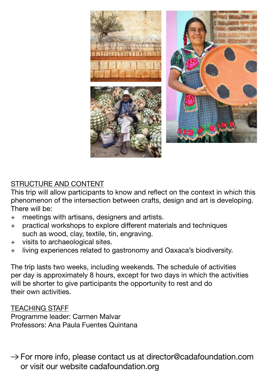

#### STRUCTURE AND CONTENT

This trip will allow participants to know and reflect on the context in which this phenomenon of the intersection between crafts, design and art is developing. There will be:

- + meetings with artisans, designers and artists.
- + practical workshops to explore different materials and techniques such as wood, clay, textile, tin, engraving.
- + visits to archaeological sites.
- + living experiences related to gastronomy and Oaxaca's biodiversity.

The trip lasts two weeks, including weekends. The schedule of activities per day is approximately 8 hours, except for two days in which the activities will be shorter to give participants the opportunity to rest and do their own activities.

#### TEACHING STAFF

Programme leader: Carmen Malvar Professors: Ana Paula Fuentes Quintana

 $\rightarrow$  For more info, please contact us at director@cadafoundation.com or visit our website cadafoundation.org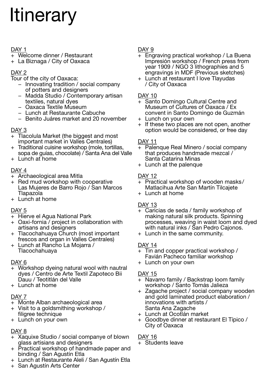## **Itinerary**

#### DAY 1

- + Welcome dinner / Restaurant
- + La Biznaga / City of Oaxaca

#### DAY<sub>2</sub>

#### Tour of the city of Oaxaca:

- − Innovating tradition / social company of potters and designers
- − Madda Studio / Contemporary artisan textiles, natural dyes
- − Oaxaca Textile Museum
- − Lunch at Restaurante Cabuche
- − Benito Juáres market and 20 november

#### DAY 3

- + Tlacolula Market (the biggest and most important market in Valles Centrales)
- + Traditional cuisine workshop (mole, tortillas, sopa de guías, chocolate) / Santa Ana del Valle
- + Lunch at home

#### DAY<sub>4</sub>

- + Archaeological area Mitla
- + Red mud workshop with cooperative Las Mujeres de Barro Rojo / San Marcos Tlapazola
- + Lunch at home

#### DAY<sub>5</sub>

- + Hierve el Agua National Park
- + Oaxi-fornia / project in collaboration with artisans and designers
- + Tlacochahuaya Church (most important frescos and organ in Valles Centrales)
- + Lunch at Rancho La Mojarra / Tlacochahuaya

#### DAY 6

- Workshop dyeing natural wool with nautral dyes / Centro de Arte Textil Zapoteco Bii Dauu / Teotitlán del Valle
- $+$  Lunch at home

#### DAY 7

- + Monte Alban archaeological area
- + Visit to a goldsmithing workshop / filigree technique
- + Lunch on your own

#### DAY 8

- + Xaquixe Studio / social companye of blown glass artisians and designers
- + Practical workshop of handmade paper and binding / San Agustín Etla
- + Lunch at Restaurante Aleli / San Agustín Etla
- + San Agustín Arts Center

#### DAY<sub>9</sub>

- + Engraving practical workshop / La Buena Impresión workshop / French press from year 1909 / NGO 3 lithographies and 5 engravings in MDF (Previous sketches)
- + Lunch at restaurant I love Tlayudas / City of Oaxaca

#### DAY 10

- + Santo Domingo Cultural Centre and Museum of Cultures of Oaxaca / Ex convent in Santo Domingo de Guzmán
- + Lunch on your own
- + If these two places are not open, another option would be considered, or free day

#### DAY 11

- + Palenque Real Minero / social company that produces handmade mezcal / Santa Catarina Minas
- + Lunch at the palenque

#### DAY<sub>12</sub>

- Practical workshop of wooden masks/ Matlacihua Arte San Martín Tilcajete
- + Lunch at home

- $\frac{DAY}{+}$  Caricias de seda / family workshop of making natural silk products. Spinning processes, weaving in waist loom and dyed with natural inks / San Pedro Cajonos.
- + Lunch in the same community.

#### DAY 14

- + Tin and copper practical workshop / Favián Pacheco familiar workshop
- + Lunch on your own

#### DAY 15

- + Navarro family / Backstrap loom family workshop / Santo Tomás Jalieza
- + Zagache project / social company wooden and gold laminated product elaboration / innovations with artists / Santa Ana Zagache
- + Lunch at Ocotlán market
- + Goodbye dinner at restaurant El Típico / City of Oaxaca

#### DAY 16

Students leave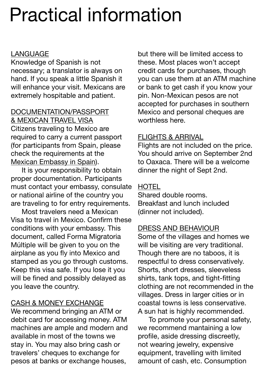### Practical information

#### LANGUAGE

Knowledge of Spanish is not necessary; a translator is always on hand. If you speak a little Spanish it will enhance your visit. Mexicans are extremely hospitable and patient.

#### DOCUMENTATION/PASSPORT & MEXICAN TRAVEL VISA Citizens traveling to Mexico are

required to carry a current passport (for participants from Spain, please check the requirements at the [Mexican Embassy in Spain](https://embamex.sre.gob.mx/espana/index.php/seccion-consular/viajarmx/visas-2)).

It is your responsibility to obtain proper documentation. Participants must contact your embassy, consulate or national airline of the country you are traveling to for entry requirements.

Most travelers need a Mexican Visa to travel in Mexico. Confirm these conditions with your embassy. This document, called Forma Migratoria Múltiple will be given to you on the airplane as you fly into Mexico and stamped as you go through customs. Keep this visa safe. If you lose it you will be fined and possibly delayed as you leave the country.

#### CASH & MONEY EXCHANGE

We recommend bringing an ATM or debit card for accessing money. ATM machines are ample and modern and available in most of the towns we stay in. You may also bring cash or travelers' cheques to exchange for pesos at banks or exchange houses,

but there will be limited access to these. Most places won't accept credit cards for purchases, though you can use them at an ATM machine or bank to get cash if you know your pin. Non-Mexican pesos are not accepted for purchases in southern Mexico and personal cheques are worthless here.

#### FLIGHTS & ARRIVAL

Flights are not included on the price. You should arrive on September 2nd to Oaxaca. There will be a welcome dinner the night of Sept 2nd.

#### **HOTEL**

Shared double rooms. Breakfast and lunch included (dinner not included).

#### DRESS AND BEHAVIOUR

Some of the villages and homes we will be visiting are very traditional. Though there are no taboos, it is respectful to dress conservatively. Shorts, short dresses, sleeveless shirts, tank tops, and tight-fitting clothing are not recommended in the villages. Dress in larger cities or in coastal towns is less conservative. A sun hat is highly recommended.

To promote your personal safety, we recommend mantaining a low profile, aside dressing discreetly, not wearing jewelry, expensive equipment, travelling with limited amount of cash, etc. Consumption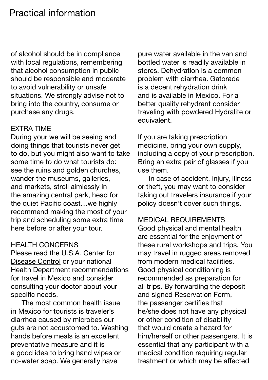of alcohol should be in compliance with local regulations, remembering that alcohol consumption in public should be responsible and moderate to avoid vulnerability or unsafe situations. We strongly advise not to bring into the country, consume or purchase any drugs.

#### EXTRA TIME

During your we will be seeing and doing things that tourists never get to do, but you might also want to take some time to do what tourists do: see the ruins and golden churches, wander the museums, galleries, and markets, stroll aimlessly in the amazing central park, head for the quiet Pacific coast…we highly recommend making the most of your trip and scheduling some extra time here before or after your tour.

#### HEALTH CONCERNS

Please read the U.S.A. [Center for](https://www.cdc.gov/globalhealth/countries/Mexico/) [Disease Control](https://www.cdc.gov/globalhealth/countries/Mexico/) or your national Health Department recommendations for travel in Mexico and consider consulting your doctor about your specific needs.

The most common health issue in Mexico for tourists is traveler's diarrhea caused by microbes our guts are not accustomed to. Washing hands before meals is an excellent preventative measure and it is a good idea to bring hand wipes or no-water soap. We generally have

pure water available in the van and bottled water is readily available in stores. Dehydration is a common problem with diarrhea. Gatorade is a decent rehydration drink and is available in Mexico. For a better quality rehydrant consider traveling with powdered Hydralite or equivalent.

If you are taking prescription medicine, bring your own supply, including a copy of your prescription. Bring an extra pair of glasses if you use them.

In case of accident, injury, illness or theft, you may want to consider taking out travelers insurance if your policy doesn't cover such things.

#### MEDICAL REQUIREMENTS

Good physical and mental health are essential for the enjoyment of these rural workshops and trips. You may travel in rugged areas removed from modern medical facilities. Good physical conditioning is recommended as preparation for all trips. By forwarding the deposit and signed Reservation Form, the passenger certifies that he/she does not have any physical or other condition of disability that would create a hazard for him/herself or other passengers. It is essential that any participant with a medical condition requiring regular treatment or which may be affected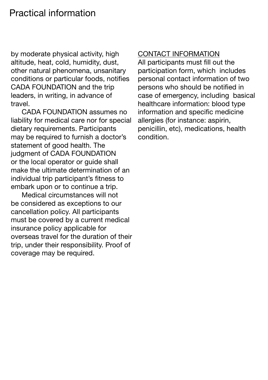### Practical information

by moderate physical activity, high altitude, heat, cold, humidity, dust, other natural phenomena, unsanitary conditions or particular foods, notifies CADA FOUNDATION and the trip leaders, in writing, in advance of travel.

CADA FOUNDATION assumes no liability for medical care nor for special dietary requirements. Participants may be required to furnish a doctor's statement of good health. The judgment of CADA FOUNDATION or the local operator or guide shall make the ultimate determination of an individual trip participant's fitness to embark upon or to continue a trip.

Medical circumstances will not be considered as exceptions to our cancellation policy. All participants must be covered by a current medical insurance policy applicable for overseas travel for the duration of their trip, under their responsibility. Proof of coverage may be required.

#### CONTACT INFORMATION

All participants must fill out the participation form, which includes personal contact information of two persons who should be notified in case of emergency, including basical healthcare information: blood type information and specific medicine allergies (for instance: aspirin, penicillin, etc), medications, health condition.